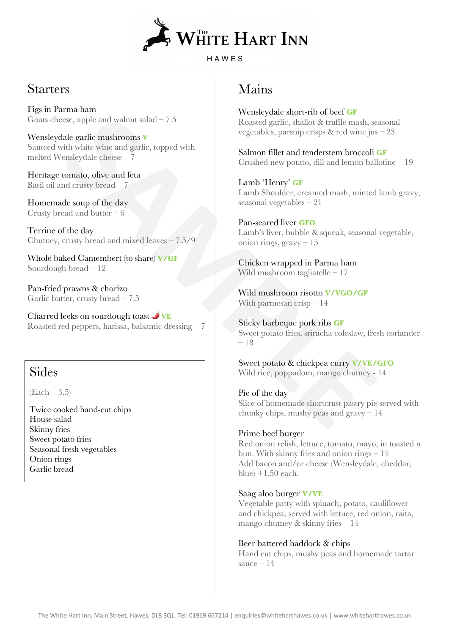

## **Starters**

Figs in Parma ham Goats cheese, apple and walnut salad  $-7.5$ 

Wensleydale garlic mushrooms **V** Sauteed with white wine and garlic, topped with melted Wensleydale cheese – 7

Heritage tomato, olive and feta Basil oil and crusty bread – 7

Homemade soup of the day Crusty bread and butter – 6

Terrine of the day Chutney, crusty bread and mixed leaves – 7.5/9

Whole baked Camembert (to share) **V/GF** Sourdough bread – 12

Pan-fried prawns & chorizo Garlic butter, crusty bread – 7.5

Charred leeks on sourdough toast **VE** Roasted red peppers, harissa, balsamic dressing – 7

## Sides

 $(Each - 3.5)$ 

Twice cooked hand-cut chips House salad Skinny fries Sweet potato fries Seasonal fresh vegetables Onion rings Garlic bread

# Mains

Wensleydale short-rib of beef **GF** Roasted garlic, shallot & truffle mash, seasonal vegetables, parsnip crisps & red wine jus – 23

Salmon fillet and tenderstem broccoli **GF** Crushed new potato, dill and lemon ballotine – 19

Lamb 'Henry' **GF** Lamb Shoulder, creamed mash, minted lamb gravy, seasonal vegetables – 21

Pan-seared liver **GFO** Lamb's liver, bubble & squeak, seasonal vegetable, onion rings, gravy – 15

Chicken wrapped in Parma ham Wild mushroom tagliatelle – 17

Wild mushroom risotto **V/VGO/GF** With parmesan  $crisp-14$ 

ese, apple and walnut salad - 7.5<br> **SAMPLE THE MANUSE STAND CONCATE THE MANUSUAR CONCATE (SAMPLE MANUSUAR CONCATE)**<br> **SAMPLER** (SAMPLE) (SAMPLE) (SAMPLE) (SAMPLE) (SAMPLE) (SAMPLE) (SAMPLE) (SAMPLE) (SAMPLE) (SAMPLE) (SAMP Sticky barbeque pork ribs **GF** Sweet potato fries, sriracha coleslaw, fresh coriander – 18

Sweet potato & chickpea curry **V/VE/GFO** Wild rice, poppadom, mango chutney - 14

Pie of the day Slice of homemade shortcrust pastry pie served with chunky chips, mushy peas and gravy – 14

### Prime beef burger

Red onion relish, lettuce, tomato, mayo, in toasted n bun. With skinny fries and onion rings – 14 Add bacon and/or cheese (Wensleydale, cheddar, blue)  $+1.50$  each.

### Saag aloo burger **V/VE**

Vegetable patty with spinach, potato, cauliflower and chickpea, served with lettuce, red onion, raita, mango chutney & skinny fries – 14

### Beer battered haddock & chips

Hand cut chips, mushy peas and homemade tartar sauce  $-14$